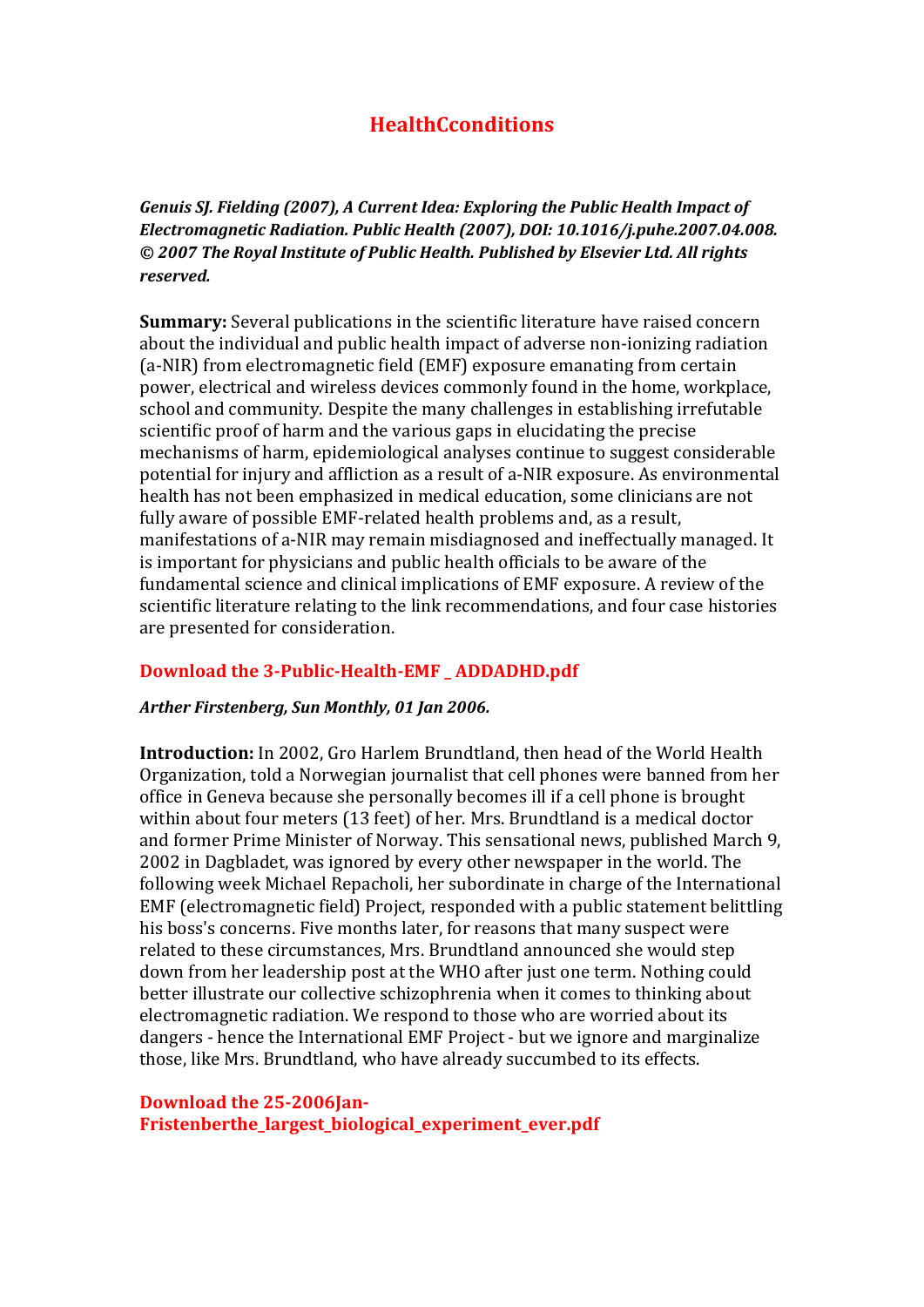# **HealthCconditions**

*Genuis SJ. Fielding (2007), A Current Idea: Exploring the Public Health Impact of Electromagnetic Radiation. Public Health (2007), DOI: 10.1016/j.puhe.2007.04.008. © 2007 The Royal Institute of Public Health. Published by Elsevier Ltd. All rights reserved.* 

**Summary:** Several publications in the scientific literature have raised concern about the individual and public health impact of adverse non-ionizing radiation (a-NIR) from electromagnetic field (EMF) exposure emanating from certain power, electrical and wireless devices commonly found in the home, workplace, school and community. Despite the many challenges in establishing irrefutable scientific proof of harm and the various gaps in elucidating the precise mechanisms of harm, epidemiological analyses continue to suggest considerable potential for injury and affliction as a result of a-NIR exposure. As environmental health has not been emphasized in medical education, some clinicians are not fully aware of possible EMF-related health problems and, as a result, manifestations of a-NIR may remain misdiagnosed and ineffectually managed. It is important for physicians and public health officials to be aware of the fundamental science and clinical implications of EMF exposure. A review of the scientific literature relating to the link recommendations, and four case histories are presented for consideration.

#### **Download the 3-Public-Health-EMF \_ ADDADHD.pdf**

#### *Arther Firstenberg, Sun Monthly, 01 Jan 2006.*

**Introduction:** In 2002, Gro Harlem Brundtland, then head of the World Health Organization, told a Norwegian journalist that cell phones were banned from her office in Geneva because she personally becomes ill if a cell phone is brought within about four meters (13 feet) of her. Mrs. Brundtland is a medical doctor and former Prime Minister of Norway. This sensational news, published March 9, 2002 in Dagbladet, was ignored by every other newspaper in the world. The following week Michael Repacholi, her subordinate in charge of the International EMF (electromagnetic field) Project, responded with a public statement belittling his boss's concerns. Five months later, for reasons that many suspect were related to these circumstances, Mrs. Brundtland announced she would step down from her leadership post at the WHO after just one term. Nothing could better illustrate our collective schizophrenia when it comes to thinking about electromagnetic radiation. We respond to those who are worried about its dangers - hence the International EMF Project - but we ignore and marginalize those, like Mrs. Brundtland, who have already succumbed to its effects.

#### **Download the 25-2006Jan-Fristenberthe\_largest\_biological\_experiment\_ever.pdf**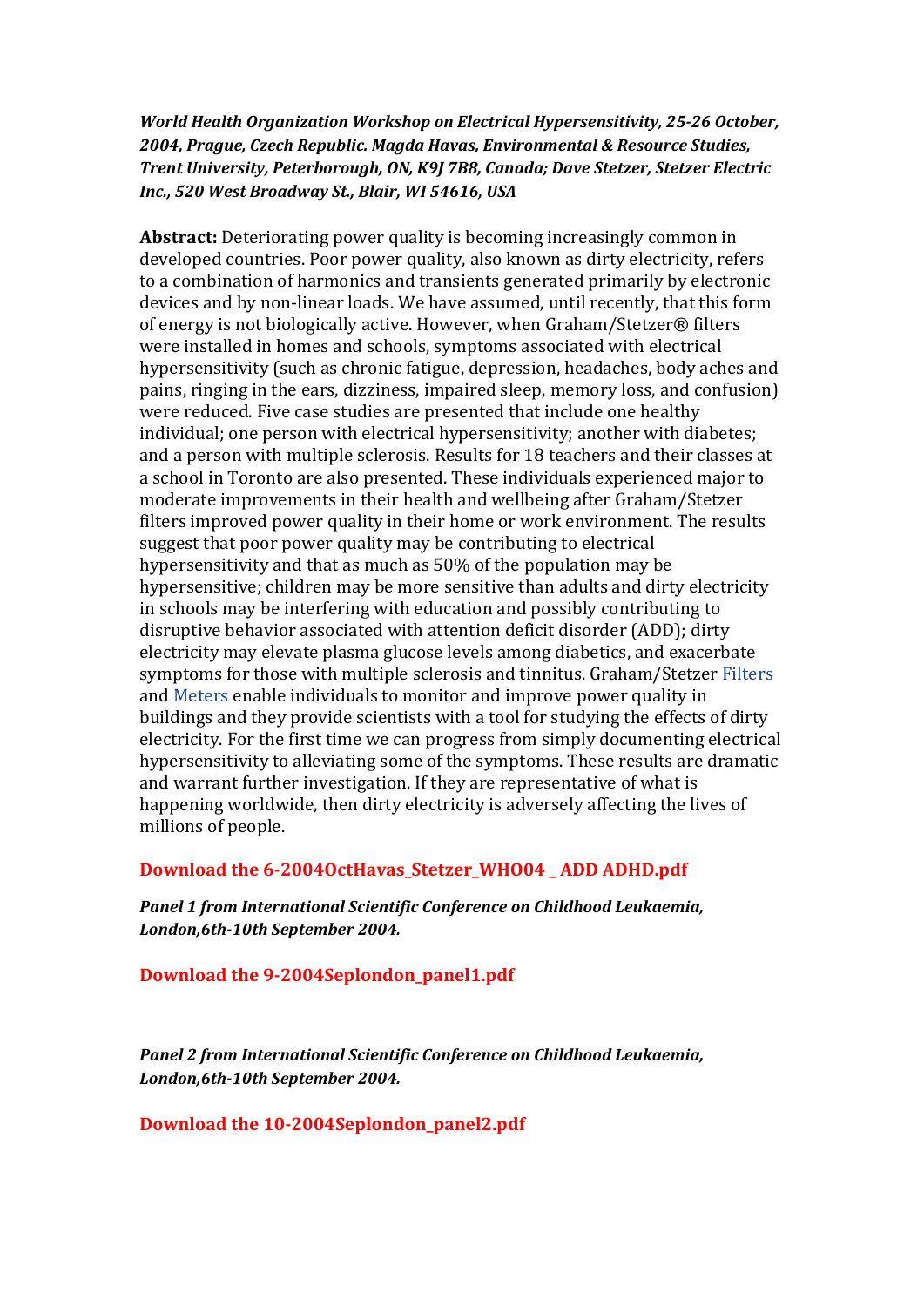## *World Health Organization Workshop on Electrical Hypersensitivity, 25-26 October, 2004, Prague, Czech Republic. Magda Havas, Environmental & Resource Studies, Trent University, Peterborough, ON, K9J 7B8, Canada; Dave Stetzer, Stetzer Electric Inc., 520 West Broadway St., Blair, WI 54616, USA*

**Abstract:** Deteriorating power quality is becoming increasingly common in developed countries. Poor power quality, also known as dirty electricity, refers to a combination of harmonics and transients generated primarily by electronic devices and by non-linear loads. We have assumed, until recently, that this form of energy is not biologically active. However, when Graham/Stetzer® filters were installed in homes and schools, symptoms associated with electrical hypersensitivity (such as chronic fatigue, depression, headaches, body aches and pains, ringing in the ears, dizziness, impaired sleep, memory loss, and confusion) were reduced. Five case studies are presented that include one healthy individual; one person with electrical hypersensitivity; another with diabetes; and a person with multiple sclerosis. Results for 18 teachers and their classes at a school in Toronto are also presented. These individuals experienced major to moderate improvements in their health and wellbeing after Graham/Stetzer filters improved power quality in their home or work environment. The results suggest that poor power quality may be contributing to electrical hypersensitivity and that as much as 50% of the population may be hypersensitive; children may be more sensitive than adults and dirty electricity in schools may be interfering with education and possibly contributing to disruptive behavior associated with attention deficit disorder (ADD); dirty electricity may elevate plasma glucose levels among diabetics, and exacerbate symptoms for those with multiple sclerosis and tinnitus. Graham/Stetzer Filters and Meters enable individuals to monitor and improve power quality in buildings and they provide scientists with a tool for studying the effects of dirty electricity. For the first time we can progress from simply documenting electrical hypersensitivity to alleviating some of the symptoms. These results are dramatic and warrant further investigation. If they are representative of what is happening worldwide, then dirty electricity is adversely affecting the lives of millions of people.

## **Download the 6-2004OctHavas\_Stetzer\_WHO04 \_ ADD ADHD.pdf**

*Panel 1 from International Scientific Conference on Childhood Leukaemia, London,6th-10th September 2004.* 

**Download the 9-2004Seplondon\_panel1.pdf** 

*Panel 2 from International Scientific Conference on Childhood Leukaemia, London,6th-10th September 2004.* 

**Download the 10-2004Seplondon\_panel2.pdf**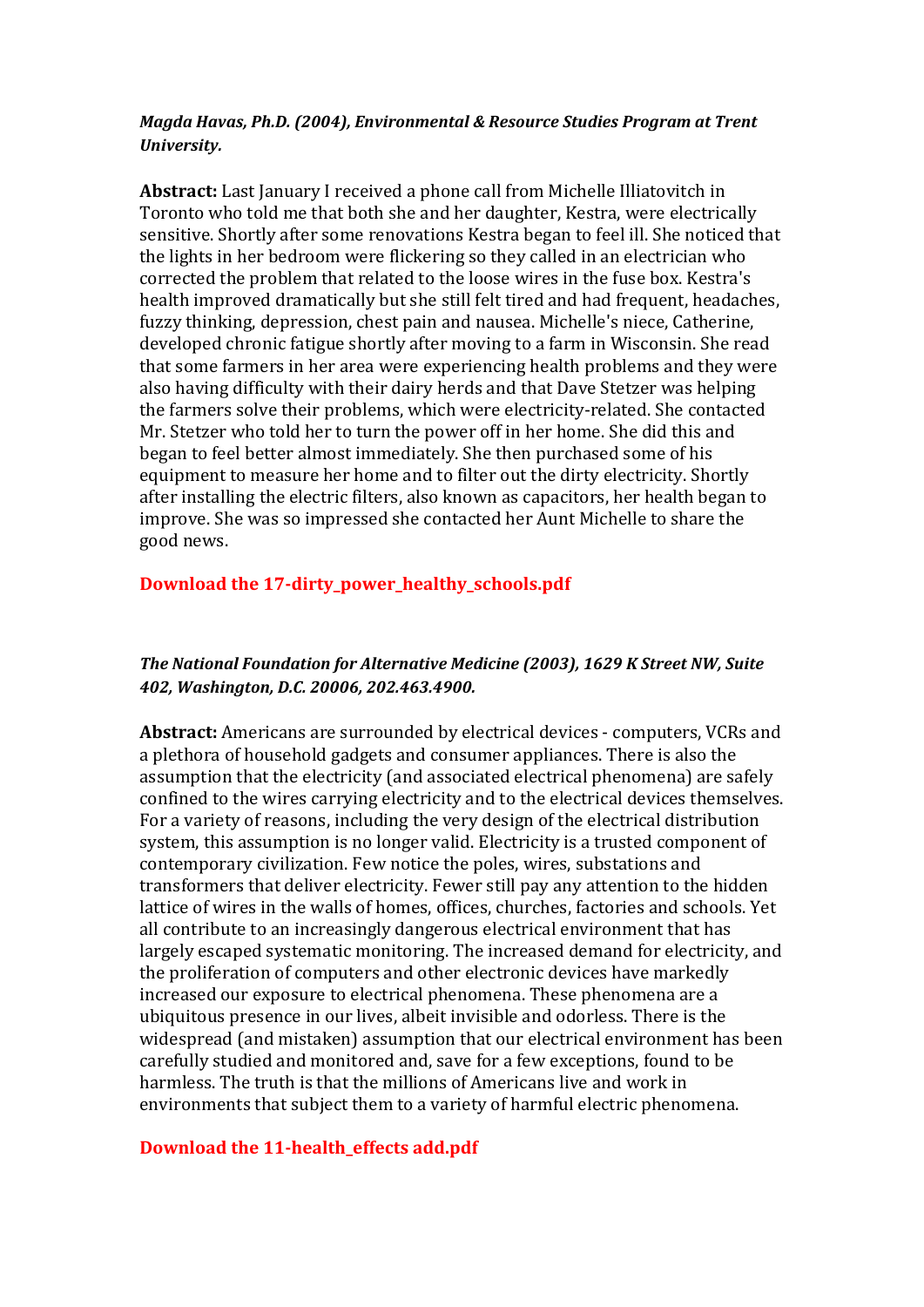#### *Magda Havas, Ph.D. (2004), Environmental & Resource Studies Program at Trent University.*

**Abstract:** Last January I received a phone call from Michelle Illiatovitch in Toronto who told me that both she and her daughter, Kestra, were electrically sensitive. Shortly after some renovations Kestra began to feel ill. She noticed that the lights in her bedroom were flickering so they called in an electrician who corrected the problem that related to the loose wires in the fuse box. Kestra's health improved dramatically but she still felt tired and had frequent, headaches, fuzzy thinking, depression, chest pain and nausea. Michelle's niece, Catherine, developed chronic fatigue shortly after moving to a farm in Wisconsin. She read that some farmers in her area were experiencing health problems and they were also having difficulty with their dairy herds and that Dave Stetzer was helping the farmers solve their problems, which were electricity-related. She contacted Mr. Stetzer who told her to turn the power off in her home. She did this and began to feel better almost immediately. She then purchased some of his equipment to measure her home and to filter out the dirty electricity. Shortly after installing the electric filters, also known as capacitors, her health began to improve. She was so impressed she contacted her Aunt Michelle to share the good news.

# **Download the 17-dirty\_power\_healthy\_schools.pdf**

## *The National Foundation for Alternative Medicine (2003), 1629 K Street NW, Suite 402, Washington, D.C. 20006, 202.463.4900.*

**Abstract:** Americans are surrounded by electrical devices - computers, VCRs and a plethora of household gadgets and consumer appliances. There is also the assumption that the electricity (and associated electrical phenomena) are safely confined to the wires carrying electricity and to the electrical devices themselves. For a variety of reasons, including the very design of the electrical distribution system, this assumption is no longer valid. Electricity is a trusted component of contemporary civilization. Few notice the poles, wires, substations and transformers that deliver electricity. Fewer still pay any attention to the hidden lattice of wires in the walls of homes, offices, churches, factories and schools. Yet all contribute to an increasingly dangerous electrical environment that has largely escaped systematic monitoring. The increased demand for electricity, and the proliferation of computers and other electronic devices have markedly increased our exposure to electrical phenomena. These phenomena are a ubiquitous presence in our lives, albeit invisible and odorless. There is the widespread (and mistaken) assumption that our electrical environment has been carefully studied and monitored and, save for a few exceptions, found to be harmless. The truth is that the millions of Americans live and work in environments that subject them to a variety of harmful electric phenomena.

## **Download the 11-health\_effects add.pdf**